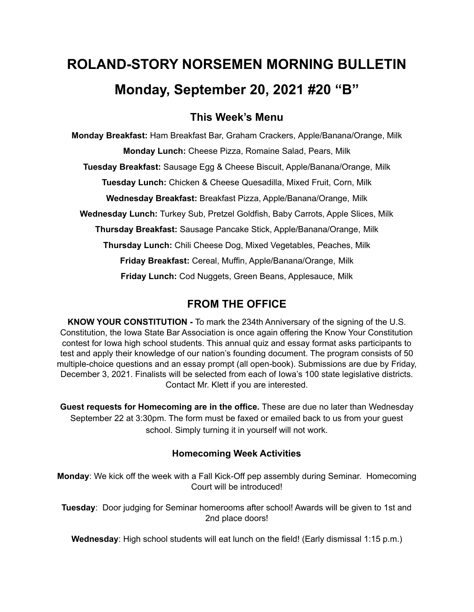# **ROLAND-STORY NORSEMEN MORNING BULLETIN Monday, September 20, 2021 #20 "B"**

# **This Week's Menu**

**Monday Breakfast:** Ham Breakfast Bar, Graham Crackers, Apple/Banana/Orange, Milk **Monday Lunch:** Cheese Pizza, Romaine Salad, Pears, Milk **Tuesday Breakfast:** Sausage Egg & Cheese Biscuit, Apple/Banana/Orange, Milk **Tuesday Lunch:** Chicken & Cheese Quesadilla, Mixed Fruit, Corn, Milk **Wednesday Breakfast:** Breakfast Pizza, Apple/Banana/Orange, Milk **Wednesday Lunch:** Turkey Sub, Pretzel Goldfish, Baby Carrots, Apple Slices, Milk **Thursday Breakfast:** Sausage Pancake Stick, Apple/Banana/Orange, Milk **Thursday Lunch:** Chili Cheese Dog, Mixed Vegetables, Peaches, Milk **Friday Breakfast:** Cereal, Muffin, Apple/Banana/Orange, Milk **Friday Lunch:** Cod Nuggets, Green Beans, Applesauce, Milk

# **FROM THE OFFICE**

**KNOW YOUR CONSTITUTION -** To mark the 234th Anniversary of the signing of the U.S. Constitution, the Iowa State Bar Association is once again offering the Know Your Constitution contest for Iowa high school students. This annual quiz and essay format asks participants to test and apply their knowledge of our nation's founding document. The program consists of 50 multiple-choice questions and an essay prompt (all open-book). Submissions are due by Friday, December 3, 2021. Finalists will be selected from each of Iowa's 100 state legislative districts. Contact Mr. Klett if you are interested.

**Guest requests for Homecoming are in the office.** These are due no later than Wednesday September 22 at 3:30pm. The form must be faxed or emailed back to us from your guest school. Simply turning it in yourself will not work.

## **Homecoming Week Activities**

**Monday**: We kick off the week with a Fall Kick-Off pep assembly during Seminar. Homecoming Court will be introduced!

**Tuesday**: Door judging for Seminar homerooms after school! Awards will be given to 1st and 2nd place doors!

**Wednesday**: High school students will eat lunch on the field! (Early dismissal 1:15 p.m.)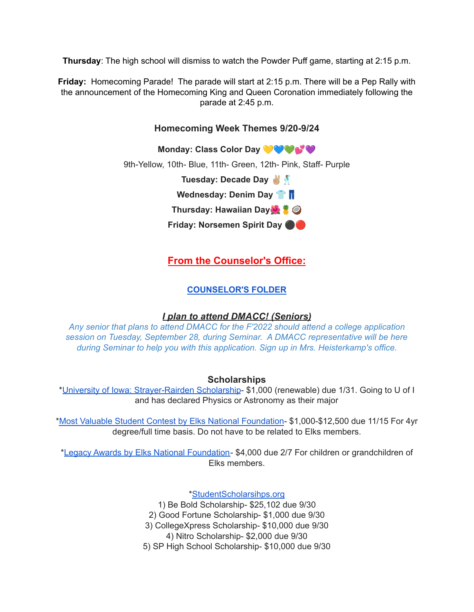**Thursday**: The high school will dismiss to watch the Powder Puff game, starting at 2:15 p.m.

**Friday:** Homecoming Parade! The parade will start at 2:15 p.m. There will be a Pep Rally with the announcement of the Homecoming King and Queen Coronation immediately following the parade at 2:45 p.m.

### **Homecoming Week Themes 9/20-9/24**

**Monday: Class Color Day** 9th-Yellow, 10th- Blue, 11th- Green, 12th- Pink, Staff- Purple **Tuesday: Decade Day Wednesday: Denim Day Thursday: Hawaiian Day Friday: Norsemen Spirit Day** ⚫️

**From the Counselor's Office:**

#### **[COUNSELOR'S](https://docs.google.com/document/d/1vmwczNPbDzXe9vFaG5LJMQ7NYDv-i4oQJHybqA65TUc/edit?usp=sharing) FOLDER**

#### *I plan to attend DMACC! (Seniors)*

*Any senior that plans to attend DMACC for the F'2022 should attend a college application session on Tuesday, September 28, during Seminar. A DMACC representative will be here during Seminar to help you with this application. Sign up in Mrs. Heisterkamp's office.*

#### **Scholarships**

\*University of Iowa: [Strayer-Rairden](https://drive.google.com/file/d/19dd2KrYVSWYKX2eleClYPvARc5_M10rR/view?usp=sharing) Scholarship- \$1,000 (renewable) due 1/31. Going to U of I and has declared Physics or Astronomy as their major

\*Most Valuable Student Contest by Elks National [Foundation](https://www.elks.org/scholars/scholarships/mvs.cfm)- \$1,000-\$12,500 due 11/15 For 4yr degree/full time basis. Do not have to be related to Elks members.

\*Legacy Awards by Elks National [Foundation-](https://www.elks.org/scholars/scholarships/Legacy.cfm) \$4,000 due 2/7 For children or grandchildren of Elks members.

[\\*StudentScholarsihps.org](https://drive.google.com/file/d/15_QGMs4o4nf-uHxHY58Ue31_w-7Qw42k/view?usp=sharing)

1) Be Bold Scholarship- \$25,102 due 9/30

2) Good Fortune Scholarship- \$1,000 due 9/30

3) CollegeXpress Scholarship- \$10,000 due 9/30

4) Nitro Scholarship- \$2,000 due 9/30

5) SP High School Scholarship- \$10,000 due 9/30